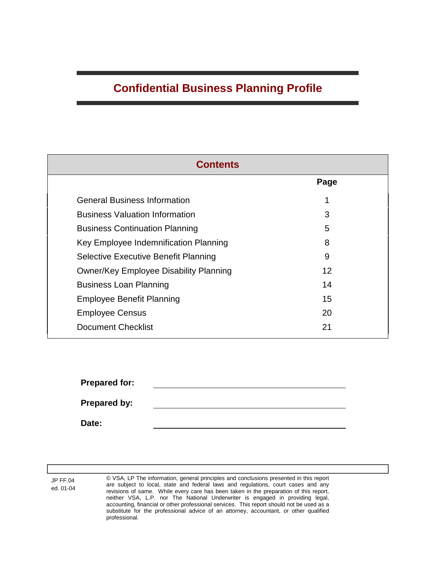# **Confidential Business Planning Profile**

| <b>Contents</b>                             |      |  |  |  |  |
|---------------------------------------------|------|--|--|--|--|
|                                             | Page |  |  |  |  |
| <b>General Business Information</b>         | 1    |  |  |  |  |
| <b>Business Valuation Information</b>       | 3    |  |  |  |  |
| <b>Business Continuation Planning</b>       | 5    |  |  |  |  |
| Key Employee Indemnification Planning       | 8    |  |  |  |  |
| <b>Selective Executive Benefit Planning</b> | 9    |  |  |  |  |
| Owner/Key Employee Disability Planning      | 12   |  |  |  |  |
| <b>Business Loan Planning</b>               | 14   |  |  |  |  |
| <b>Employee Benefit Planning</b>            | 15   |  |  |  |  |
| <b>Employee Census</b>                      | 20   |  |  |  |  |
| <b>Document Checklist</b>                   | 21   |  |  |  |  |

**Prepared for:**

**Prepared by:**

**Date:**

JP FF.04 ed. 01-04 © VSA, LP The information, general principles and conclusions presented in this report are subject to local, state and federal laws and regulations, court cases and any revisions of same. While every care has been taken in the preparation of this report, neither VSA, L.P. nor The National Underwriter is engaged in providing legal, accounting, financial or other professional services. This report should not be used as a substitute for the professional advice of an attorney, accountant, or other qualified professional.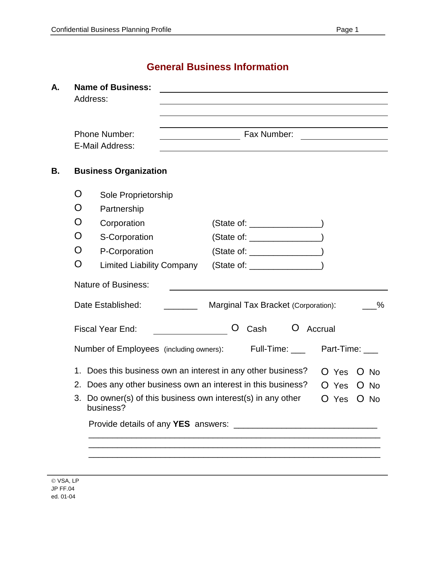# **General Business Information**

| А. |    | <b>Name of Business:</b><br>Address:                                   |                                                                       |        |
|----|----|------------------------------------------------------------------------|-----------------------------------------------------------------------|--------|
|    |    | <b>Phone Number:</b><br>E-Mail Address:                                | Fax Number:                                                           |        |
| В. |    | <b>Business Organization</b>                                           |                                                                       |        |
|    | O  | Sole Proprietorship                                                    |                                                                       |        |
|    | O  | Partnership                                                            |                                                                       |        |
|    | O  | Corporation                                                            | $(State of: ____________ )$                                           |        |
|    | O  | S-Corporation                                                          | $(State of: __________ )$                                             |        |
|    | O  | P-Corporation                                                          | $(State of: __________ )$                                             |        |
|    | O  | <b>Limited Liability Company</b>                                       | (State of: ____________________)                                      |        |
|    |    | <b>Nature of Business:</b>                                             |                                                                       |        |
|    |    | Date Established:                                                      | Marginal Tax Bracket (Corporation):                                   | $\%$   |
|    |    | <b>Fiscal Year End:</b>                                                | Cash<br>Ő<br>$\mathbf{O}$<br>Accrual                                  |        |
|    |    | Number of Employees (including owners):                                | Full-Time: ____<br>Part-Time: ___                                     |        |
|    |    |                                                                        | 1. Does this business own an interest in any other business?<br>O Yes | $O$ No |
|    |    | 2. Does any other business own an interest in this business?           | O Yes                                                                 | $O$ No |
|    | 3. | Do owner(s) of this business own interest(s) in any other<br>business? | O Yes                                                                 | $O$ No |
|    |    |                                                                        |                                                                       |        |
|    |    |                                                                        |                                                                       |        |
|    |    |                                                                        |                                                                       |        |
|    |    |                                                                        |                                                                       |        |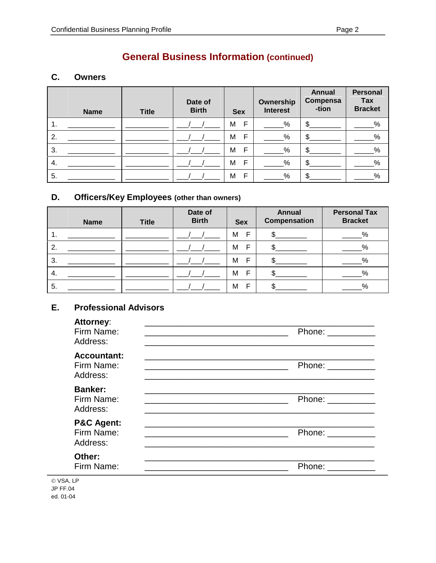# **General Business Information (continued)**

#### C. **Owners**

| <b>Name</b> | <b>Title</b> | Date of<br><b>Birth</b> | <b>Sex</b>        | Ownership<br><b>Interest</b> | <b>Annual</b><br>Compensa<br>-tion | <b>Personal</b><br>Tax<br><b>Bracket</b> |
|-------------|--------------|-------------------------|-------------------|------------------------------|------------------------------------|------------------------------------------|
| 1.          |              |                         | $\mathsf{F}$<br>M | %                            | \$                                 | %                                        |
| 2.          |              |                         | F<br>M            | %                            | \$.                                | %                                        |
| 3.          |              |                         | F<br>M            | %                            | ጥ                                  | $\%$                                     |
| 4.          |              |                         | F<br>M            | %                            | ጥ                                  | %                                        |
| 5.          |              |                         | E<br>M            | %                            |                                    | %                                        |

#### D. Officers/Key Employees (other than owners)

| <b>Name</b> | <b>Title</b> | Date of<br><b>Birth</b> | <b>Sex</b> | <b>Annual</b><br><b>Compensation</b> | <b>Personal Tax</b><br><b>Bracket</b> |
|-------------|--------------|-------------------------|------------|--------------------------------------|---------------------------------------|
| 1.          |              |                         | E<br>M     |                                      | %                                     |
| 2.          |              |                         | E<br>M     |                                      | %                                     |
| 3.          |              |                         | E<br>M     |                                      | %                                     |
| 4.          |              |                         | F<br>M     |                                      | %                                     |
| 5.          |              |                         | F<br>M     |                                      | %                                     |

#### E. **Professional Advisors**

| , ,,,,,,,,,,,,<br>Firm Name:<br>Address:        | Phone: $\frac{1}{\sqrt{1-\frac{1}{2}}\cdot\frac{1}{2}}$<br><u> 1989 - Johann Stoff, deutscher Stoff, der Stoff, der Stoff, der Stoff, der Stoff, der Stoff, der Stoff, der S</u> |
|-------------------------------------------------|----------------------------------------------------------------------------------------------------------------------------------------------------------------------------------|
| <b>Accountant:</b><br>Firm Name:<br>Address:    | Phone: ___________<br><u> 1989 - Johann Stoff, deutscher Stoff, der Stoff, der Stoff, der Stoff, der Stoff, der Stoff, der Stoff, der S</u>                                      |
| <b>Banker:</b><br>Firm Name:<br>Address:        | Phone: __________                                                                                                                                                                |
| <b>P&amp;C Agent:</b><br>Firm Name:<br>Address: | Phone: __________                                                                                                                                                                |
| Other:<br>Firm Name:                            | Phone: ___________                                                                                                                                                               |

© VSA, LP **JP FF.04** ed. 01-04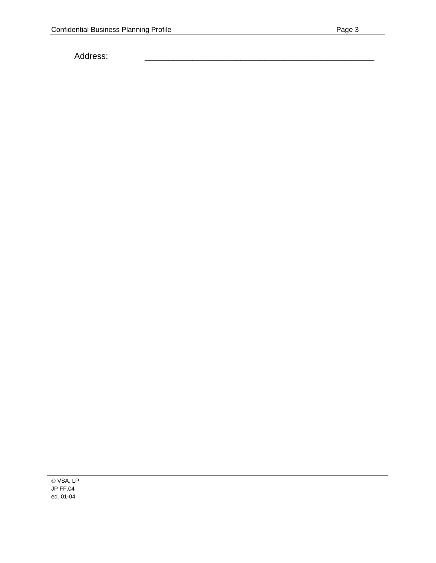Address: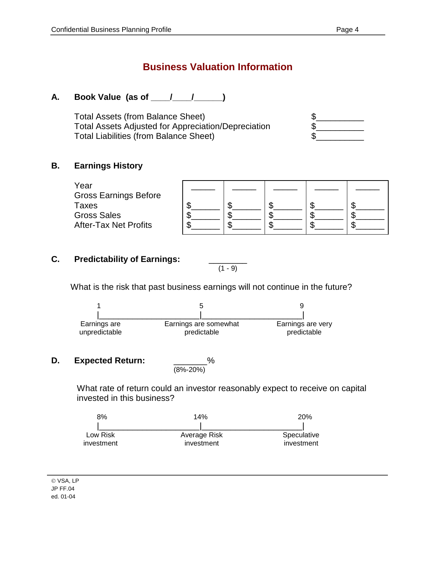### **A. Book Value (as of \_\_\_\_/\_\_\_\_/\_\_\_\_\_\_)**

Total Assets (from Balance Sheet)  $\qquad \qquad \$ Total Assets Adjusted for Appreciation/Depreciation  $\quad$ Total Liabilities (from Balance Sheet)  $\$ 

### **B. Earnings History**

| Year<br><b>Gross Earnings Before</b> |  |  |  |
|--------------------------------------|--|--|--|
| Taxes<br><b>Gross Sales</b>          |  |  |  |
| <b>After-Tax Net Profits</b>         |  |  |  |

 $(1 - 9)$ 

### **C. Predictability of Earnings:** \_\_\_\_\_\_\_\_

What is the risk that past business earnings will not continue in the future?



#### **D.** Expected Return:

 $\frac{\%}{(8\% - 20\%)}$ 

What rate of return could an investor reasonably expect to receive on capital invested in this business?

| 8%         | 14%          | <b>20%</b>  |  |
|------------|--------------|-------------|--|
|            |              |             |  |
| Low Risk   | Average Risk | Speculative |  |
| investment | investment   | investment  |  |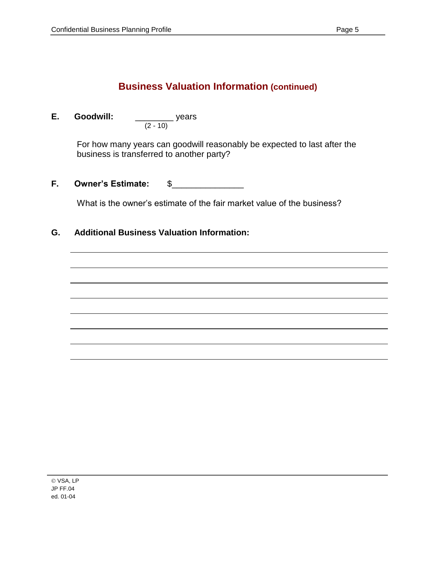## **Business Valuation Information (continued)**

**E. Goodwill:** \_\_\_\_\_\_\_\_ years (2 - 10)

> For how many years can goodwill reasonably be expected to last after the business is transferred to another party?

**F.** Owner's Estimate:  $\quad \$ 

What is the owner's estimate of the fair market value of the business?

### **G. Additional Business Valuation Information:**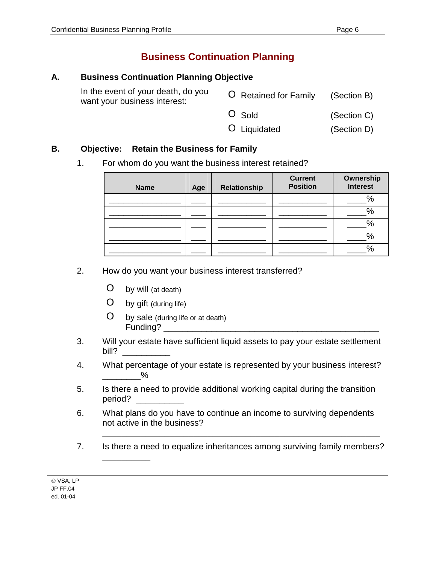# **Business Continuation Planning**

### **A. Business Continuation Planning Objective**

| In the event of your death, do you<br>want your business interest: | O Retained for Family | (Section B) |
|--------------------------------------------------------------------|-----------------------|-------------|
|                                                                    | O Sold                | (Section C) |
|                                                                    | O Liquidated          | (Section D) |

### **B. Objective: Retain the Business for Family**

1. For whom do you want the business interest retained?

| <b>Name</b> | Age | Relationship | <b>Current</b><br><b>Position</b> | Ownership<br><b>Interest</b> |
|-------------|-----|--------------|-----------------------------------|------------------------------|
|             |     |              |                                   | %                            |
|             |     |              |                                   | %                            |
|             |     |              |                                   | о,<br>70                     |
|             |     |              |                                   | %                            |
|             |     |              |                                   | о,<br>٬ດ                     |

- 2. How do you want your business interest transferred?
	- O by will (at death)
	- O by gift (during life)

\_\_\_\_\_\_\_\_\_\_

- O by sale (during life or at death) Funding? \_\_\_\_\_\_\_\_\_\_\_\_\_\_\_\_\_\_\_\_\_\_\_\_\_\_\_\_\_\_\_\_\_\_\_\_\_\_\_\_\_\_\_\_\_
- 3. Will your estate have sufficient liquid assets to pay your estate settlement  $\mathsf{bill?}$
- 4. What percentage of your estate is represented by your business interest?  $\%$
- 5. Is there a need to provide additional working capital during the transition period? \_\_\_\_\_\_\_\_\_\_
- 6. What plans do you have to continue an income to surviving dependents not active in the business?
- 7. Is there a need to equalize inheritances among surviving family members?

\_\_\_\_\_\_\_\_\_\_\_\_\_\_\_\_\_\_\_\_\_\_\_\_\_\_\_\_\_\_\_\_\_\_\_\_\_\_\_\_\_\_\_\_\_\_\_\_\_\_\_\_\_\_\_\_\_\_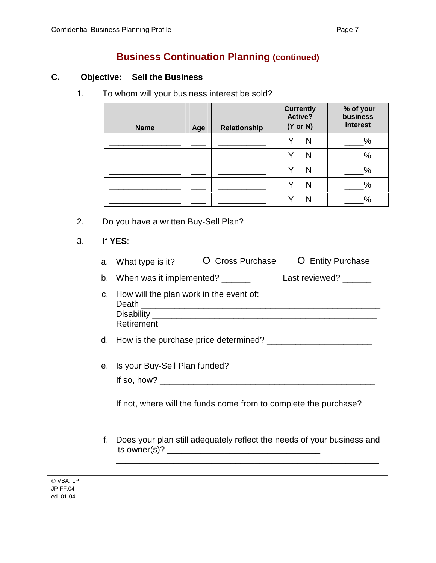## **Business Continuation Planning (continued)**

### **C. Objective: Sell the Business**

1. To whom will your business interest be sold?

| <b>Name</b> | Age | Relationship | <b>Currently</b><br>Active?<br>$(Y \text{ or } N)$ | % of your<br>business<br>interest |
|-------------|-----|--------------|----------------------------------------------------|-----------------------------------|
|             |     |              | N                                                  | $\%$                              |
|             |     |              | N                                                  | $\%$                              |
|             |     |              | N                                                  | $\%$                              |
|             |     |              | N                                                  | %                                 |
|             |     |              |                                                    | $\%$                              |

2. Do you have a written Buy-Sell Plan?

3. If **YES**:

|  | a. What type is it? | O Cross Purchase | O Entity Purchase |
|--|---------------------|------------------|-------------------|
|--|---------------------|------------------|-------------------|

b. When was it implemented? \_\_\_\_\_\_\_ Last reviewed? \_\_\_\_\_\_

- c. How will the plan work in the event of: Death \_\_\_\_\_\_\_\_\_\_\_\_\_\_\_\_\_\_\_\_\_\_\_\_\_\_\_\_\_\_\_\_\_\_\_\_\_\_\_\_\_\_\_\_\_\_\_\_\_\_ Disability **Example 20** and  $\overline{a}$  and  $\overline{b}$  and  $\overline{c}$  and  $\overline{c}$  and  $\overline{c}$  and  $\overline{c}$  and  $\overline{c}$  and  $\overline{c}$  and  $\overline{c}$  and  $\overline{c}$  and  $\overline{c}$  and  $\overline{c}$  and  $\overline{c}$  and  $\overline{c}$  and  $\overline{c}$  and Retirement \_\_\_\_\_\_\_\_\_\_\_\_\_\_\_\_\_\_\_\_\_\_\_\_\_\_\_\_\_\_\_\_\_\_\_\_\_\_\_\_\_\_\_\_\_\_
- d. How is the purchase price determined? \_\_\_\_\_\_\_\_\_\_\_\_\_\_\_\_\_\_\_\_\_\_

\_\_\_\_\_\_\_\_\_\_\_\_\_\_\_\_\_\_\_\_\_\_\_\_\_\_\_\_\_\_\_\_\_\_\_\_\_\_\_\_\_\_\_\_\_\_\_\_\_\_\_\_\_\_\_

- e. Is your Buy-Sell Plan funded? \_\_\_\_\_\_ If so, how?  $\overline{\phantom{a}}$ 
	- If not, where will the funds come from to complete the purchase?

\_\_\_\_\_\_\_\_\_\_\_\_\_\_\_\_\_\_\_\_\_\_\_\_\_\_\_\_\_\_\_\_\_\_\_\_\_\_\_\_\_\_\_\_\_

\_\_\_\_\_\_\_\_\_\_\_\_\_\_\_\_\_\_\_\_\_\_\_\_\_\_\_\_\_\_\_\_\_\_\_\_\_\_\_\_\_\_\_\_\_\_\_\_\_\_\_\_\_\_\_

\_\_\_\_\_\_\_\_\_\_\_\_\_\_\_\_\_\_\_\_\_\_\_\_\_\_\_\_\_\_\_\_\_\_\_\_\_\_\_\_\_\_\_\_\_\_\_\_\_\_\_\_\_\_\_

\_\_\_\_\_\_\_\_\_\_\_\_\_\_\_\_\_\_\_\_\_\_\_\_\_\_\_\_\_\_\_\_\_\_\_\_\_\_\_\_\_\_\_\_\_\_\_\_\_\_\_\_\_\_\_

f. Does your plan still adequately reflect the needs of your business and its owner(s)? \_\_\_\_\_\_\_\_\_\_\_\_\_\_\_\_\_\_\_\_\_\_\_\_\_\_\_\_\_\_\_\_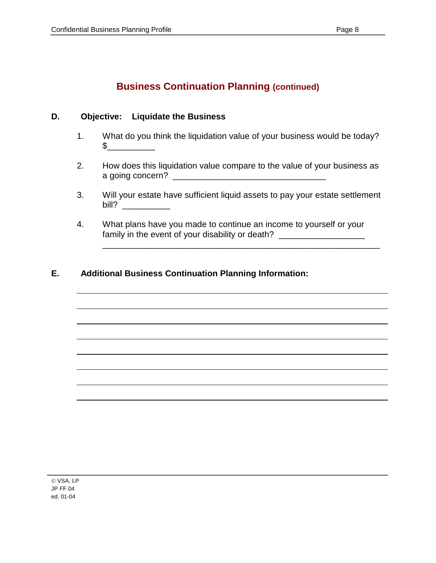# **Business Continuation Planning (continued)**

### **D. Objective: Liquidate the Business**

- 1. What do you think the liquidation value of your business would be today? \$\_\_\_\_\_\_\_\_\_\_
- 2. How does this liquidation value compare to the value of your business as a going concern? \_\_\_\_\_\_\_\_\_\_\_\_\_\_\_\_\_\_\_\_\_\_\_\_\_\_\_\_\_\_\_\_
- 3. Will your estate have sufficient liquid assets to pay your estate settlement bill? \_\_\_\_\_\_\_\_\_\_

\_\_\_\_\_\_\_\_\_\_\_\_\_\_\_\_\_\_\_\_\_\_\_\_\_\_\_\_\_\_\_\_\_\_\_\_\_\_\_\_\_\_\_\_\_\_\_\_\_\_\_\_\_\_\_\_\_\_

4. What plans have you made to continue an income to yourself or your family in the event of your disability or death? \_\_\_\_\_\_\_\_\_\_\_\_\_\_\_\_\_\_\_\_\_\_\_\_\_\_\_\_\_\_\_

### **E. Additional Business Continuation Planning Information:**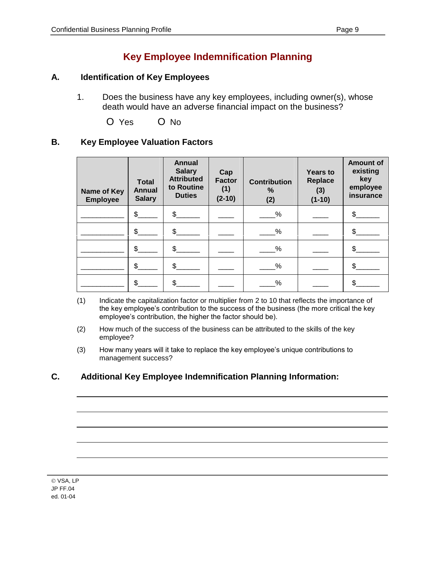# **Key Employee Indemnification Planning**

#### **A. Identification of Key Employees**

1. Does the business have any key employees, including owner(s), whose death would have an adverse financial impact on the business?

O Yes O No

### **B. Key Employee Valuation Factors**

| Name of Key<br><b>Employee</b> | <b>Total</b><br>Annual<br><b>Salary</b> | <b>Annual</b><br><b>Salary</b><br><b>Attributed</b><br>to Routine<br><b>Duties</b> | Cap<br><b>Factor</b><br>(1)<br>$(2-10)$ | <b>Contribution</b><br>%<br>(2) | <b>Years to</b><br>Replace<br>(3)<br>$(1-10)$ | <b>Amount of</b><br>existing<br>key<br>employee<br>insurance |
|--------------------------------|-----------------------------------------|------------------------------------------------------------------------------------|-----------------------------------------|---------------------------------|-----------------------------------------------|--------------------------------------------------------------|
|                                | \$                                      | \$                                                                                 |                                         | %                               |                                               |                                                              |
|                                | $\mathsf{S}$                            | $\mathfrak{L}$                                                                     |                                         | %                               |                                               |                                                              |
|                                | \$.                                     | \$.                                                                                |                                         | %                               |                                               |                                                              |
|                                | \$                                      | \$                                                                                 |                                         | %                               |                                               |                                                              |
|                                | \$                                      | \$                                                                                 |                                         | %                               |                                               |                                                              |

- (1) Indicate the capitalization factor or multiplier from 2 to 10 that reflects the importance of the key employee's contribution to the success of the business (the more critical the key employee's contribution, the higher the factor should be).
- (2) How much of the success of the business can be attributed to the skills of the key employee?
- (3) How many years will it take to replace the key employee's unique contributions to management success?

### **C. Additional Key Employee Indemnification Planning Information:**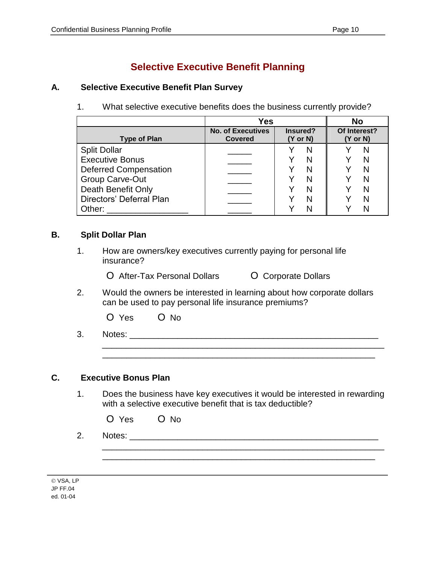# **Selective Executive Benefit Planning**

### **A. Selective Executive Benefit Plan Survey**

1. What selective executive benefits does the business currently provide?

|                                               | Yes                                 |                                 | <b>No</b>                |
|-----------------------------------------------|-------------------------------------|---------------------------------|--------------------------|
| <b>Type of Plan</b>                           | <b>No. of Executives</b><br>Covered | Insured?<br>$(Y \text{ or } N)$ | Of Interest?<br>(Y or N) |
| <b>Split Dollar</b><br><b>Executive Bonus</b> |                                     | N                               |                          |
| <b>Deferred Compensation</b>                  |                                     |                                 |                          |
| <b>Group Carve-Out</b><br>Death Benefit Only  |                                     |                                 |                          |
| Directors' Deferral Plan                      |                                     |                                 |                          |
| Other:                                        |                                     |                                 |                          |

#### **B. Split Dollar Plan**

1. How are owners/key executives currently paying for personal life insurance?

O After-Tax Personal Dollars **O** Corporate Dollars

2. Would the owners be interested in learning about how corporate dollars can be used to pay personal life insurance premiums?

|  | O Yes |  | $O$ No |
|--|-------|--|--------|
|--|-------|--|--------|

3. Notes: \_\_\_\_\_\_\_\_\_\_\_\_\_\_\_\_\_\_\_\_\_\_\_\_\_\_\_\_\_\_\_\_\_\_\_\_\_\_\_\_\_\_\_\_\_\_\_\_\_\_\_\_

### **C. Executive Bonus Plan**

1. Does the business have key executives it would be interested in rewarding with a selective executive benefit that is tax deductible?

\_\_\_\_\_\_\_\_\_\_\_\_\_\_\_\_\_\_\_\_\_\_\_\_\_\_\_\_\_\_\_\_\_\_\_\_\_\_\_\_\_\_\_\_\_\_\_\_\_\_\_\_\_\_\_\_\_\_\_ \_\_\_\_\_\_\_\_\_\_\_\_\_\_\_\_\_\_\_\_\_\_\_\_\_\_\_\_\_\_\_\_\_\_\_\_\_\_\_\_\_\_\_\_\_\_\_\_\_\_\_\_\_\_\_\_\_

\_\_\_\_\_\_\_\_\_\_\_\_\_\_\_\_\_\_\_\_\_\_\_\_\_\_\_\_\_\_\_\_\_\_\_\_\_\_\_\_\_\_\_\_\_\_\_\_\_\_\_\_\_\_\_\_\_\_\_ \_\_\_\_\_\_\_\_\_\_\_\_\_\_\_\_\_\_\_\_\_\_\_\_\_\_\_\_\_\_\_\_\_\_\_\_\_\_\_\_\_\_\_\_\_\_\_\_\_\_\_\_\_\_\_\_\_

- O Yes O No
- 2. Notes: \_\_\_\_\_\_\_\_\_\_\_\_\_\_\_\_\_\_\_\_\_\_\_\_\_\_\_\_\_\_\_\_\_\_\_\_\_\_\_\_\_\_\_\_\_\_\_\_\_\_\_\_

VSA, LP JP FF.04 ed. 01-04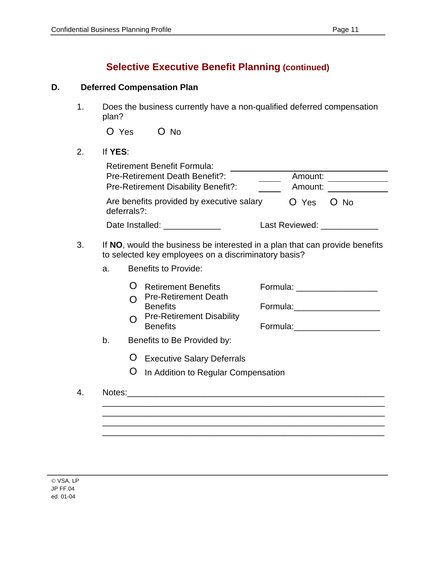# **Selective Executive Benefit Planning (continued)**

### **D. Deferred Compensation Plan**

1. Does the business currently have a non-qualified deferred compensation plan?

| O Yes | O No |
|-------|------|
|       |      |

### 2. If **YES**:

|    |                | <b>Retirement Benefit Formula:</b><br>Pre-Retirement Death Benefit?:<br>Pre-Retirement Disability Benefit?:                                                 | Amount:<br>Amount: |                                                                                                                                                                                                                                                                                                       |
|----|----------------|-------------------------------------------------------------------------------------------------------------------------------------------------------------|--------------------|-------------------------------------------------------------------------------------------------------------------------------------------------------------------------------------------------------------------------------------------------------------------------------------------------------|
|    | deferrals?:    | Are benefits provided by executive salary                                                                                                                   | O Yes              | O No                                                                                                                                                                                                                                                                                                  |
|    |                | Date Installed: ______________                                                                                                                              |                    | Last Reviewed: New York 1999                                                                                                                                                                                                                                                                          |
| 3. | a <sub>z</sub> | If NO, would the business be interested in a plan that can provide benefits<br>to selected key employees on a discriminatory basis?<br>Benefits to Provide: |                    |                                                                                                                                                                                                                                                                                                       |
|    |                | <b>Retirement Benefits</b><br><b>Pre-Retirement Death</b><br><b>Benefits</b><br><b>Pre-Retirement Disability</b><br><b>Benefits</b>                         |                    | Formula: _____________________<br>Formula: Management Communication and Communication and Communication and Communication and Communication and Communication and Communication and Communication and Communication and Communication and Communication and Comm<br>Formula: Management Communication |
|    | b.             | Benefits to Be Provided by:                                                                                                                                 |                    |                                                                                                                                                                                                                                                                                                       |
|    |                | <b>Executive Salary Deferrals</b><br>In Addition to Regular Compensation                                                                                    |                    |                                                                                                                                                                                                                                                                                                       |

| 4. Notes: |  |  |  |
|-----------|--|--|--|
|           |  |  |  |
|           |  |  |  |
|           |  |  |  |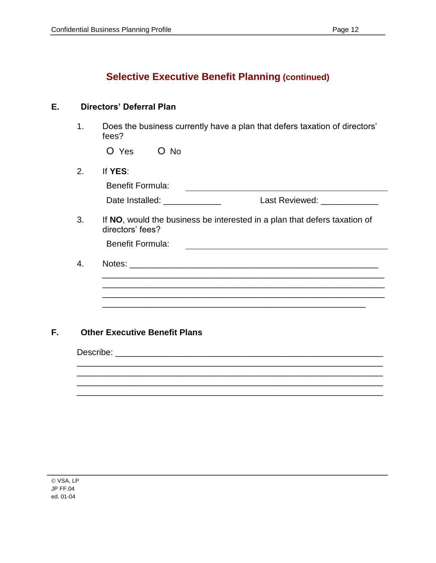# **Selective Executive Benefit Planning (continued)**

### **E. Directors' Deferral Plan**

1. Does the business currently have a plan that defers taxation of directors' fees?

O Yes O No

#### 2. If **YES**:

| Benefit Formula: |                |
|------------------|----------------|
| Date Installed:  | Last Reviewed: |

3. If **NO**, would the business be interested in a plan that defers taxation of directors' fees?

Benefit Formula:

4. Notes: \_\_\_\_\_\_\_\_\_\_\_\_\_\_\_\_\_\_\_\_\_\_\_\_\_\_\_\_\_\_\_\_\_\_\_\_\_\_\_\_\_\_\_\_\_\_\_\_\_\_\_\_\_\_\_\_\_\_\_

\_\_\_\_\_\_\_\_\_\_\_\_\_\_\_\_\_\_\_\_\_\_\_\_\_\_\_\_\_\_\_\_\_\_\_\_\_\_\_\_\_\_\_\_\_\_\_\_\_\_\_\_\_\_\_\_\_\_\_\_\_\_\_\_ \_\_\_\_\_\_\_\_\_\_\_\_\_\_\_\_\_\_\_\_\_\_\_\_\_\_\_\_\_\_\_\_\_\_\_\_\_\_\_\_\_\_\_\_\_\_\_\_\_\_\_\_\_\_\_\_\_\_\_\_\_\_\_\_

\_\_\_\_\_\_\_\_\_\_\_\_\_\_\_\_\_\_\_\_\_\_\_\_\_\_\_\_\_\_\_\_\_\_\_\_\_\_\_\_\_\_\_\_\_\_\_\_\_\_\_\_\_\_\_\_\_\_\_\_\_\_\_\_

\_\_\_\_\_\_\_\_\_\_\_\_\_\_\_\_\_\_\_\_\_\_\_\_\_\_\_\_\_\_\_\_\_\_\_\_\_\_\_\_\_\_\_\_\_\_\_\_\_\_\_\_\_\_\_\_\_\_\_

### **F. Other Executive Benefit Plans**

Describe: \_\_\_\_\_\_\_\_\_\_\_\_\_\_\_\_\_\_\_\_\_\_\_\_\_\_\_\_\_\_\_\_\_\_\_\_\_\_\_\_\_\_\_\_\_\_\_\_\_\_\_\_\_\_\_\_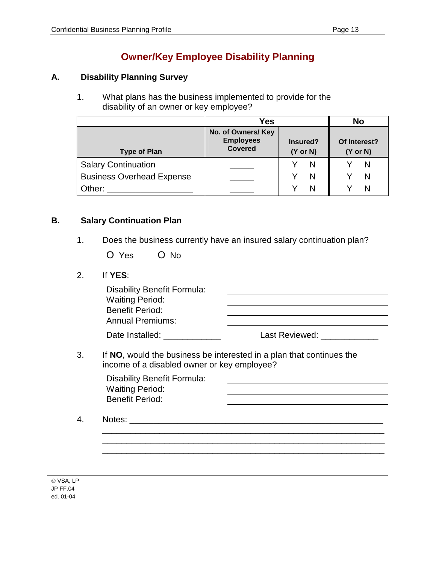# **Owner/Key Employee Disability Planning**

### **A. Disability Planning Survey**

1. What plans has the business implemented to provide for the disability of an owner or key employee?

|                                  | <b>Yes</b>                                               |                                 | <b>No</b>                           |
|----------------------------------|----------------------------------------------------------|---------------------------------|-------------------------------------|
| <b>Type of Plan</b>              | No. of Owners/ Key<br><b>Employees</b><br><b>Covered</b> | Insured?<br>$(Y \text{ or } N)$ | Of Interest?<br>$(Y \text{ or } N)$ |
| <b>Salary Continuation</b>       |                                                          | N                               | N                                   |
| <b>Business Overhead Expense</b> |                                                          | N                               |                                     |
| Other:                           |                                                          | N                               |                                     |

### **B. Salary Continuation Plan**

- 1. Does the business currently have an insured salary continuation plan?
	- O Yes O No
- 2. If **YES**:

| Disability Benefit Formula:<br><b>Waiting Period:</b><br><b>Benefit Period:</b><br><b>Annual Premiums:</b> |                                                                      |
|------------------------------------------------------------------------------------------------------------|----------------------------------------------------------------------|
| Date Installed:                                                                                            | Last Reviewed: New York 1999                                         |
|                                                                                                            | If NO, would the business be interested in a plan that continues the |

income of a disabled owner or key employee?

| <b>Disability Benefit Formula:</b> |  |
|------------------------------------|--|
| <b>Waiting Period:</b>             |  |
| <b>Benefit Period:</b>             |  |
|                                    |  |

\_\_\_\_\_\_\_\_\_\_\_\_\_\_\_\_\_\_\_\_\_\_\_\_\_\_\_\_\_\_\_\_\_\_\_\_\_\_\_\_\_\_\_\_\_\_\_\_\_\_\_\_\_\_\_\_\_\_\_ \_\_\_\_\_\_\_\_\_\_\_\_\_\_\_\_\_\_\_\_\_\_\_\_\_\_\_\_\_\_\_\_\_\_\_\_\_\_\_\_\_\_\_\_\_\_\_\_\_\_\_\_\_\_\_\_\_\_\_ \_\_\_\_\_\_\_\_\_\_\_\_\_\_\_\_\_\_\_\_\_\_\_\_\_\_\_\_\_\_\_\_\_\_\_\_\_\_\_\_\_\_\_\_\_\_\_\_\_\_\_\_\_\_\_\_\_\_\_

4. Notes: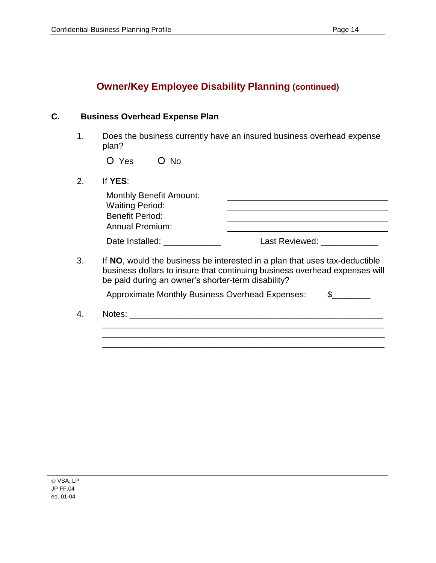# **Owner/Key Employee Disability Planning (continued)**

### **C. Business Overhead Expense Plan**

1. Does the business currently have an insured business overhead expense plan?

| O Yes | O No |
|-------|------|
|       |      |

2. If **YES**:

| <b>Monthly Benefit Amount:</b><br><b>Waiting Period:</b><br><b>Benefit Period:</b> |                                                                                                                                                                          |
|------------------------------------------------------------------------------------|--------------------------------------------------------------------------------------------------------------------------------------------------------------------------|
| <b>Annual Premium:</b>                                                             | the contract of the contract of the contract of the contract of the contract of the contract of the contract of                                                          |
| Date Installed: Date Installed:                                                    | Last Reviewed: _____________                                                                                                                                             |
|                                                                                    |                                                                                                                                                                          |
| be paid during an owner's shorter-term disability?                                 |                                                                                                                                                                          |
| <b>Approximate Monthly Business Overhead Expenses:</b>                             | If NO, would the business be interested in a plan that uses tax-deductible<br>business dollars to insure that continuing business overhead expenses will<br>$\mathbb{S}$ |

\_\_\_\_\_\_\_\_\_\_\_\_\_\_\_\_\_\_\_\_\_\_\_\_\_\_\_\_\_\_\_\_\_\_\_\_\_\_\_\_\_\_\_\_\_\_\_\_\_\_\_\_\_\_\_\_\_\_\_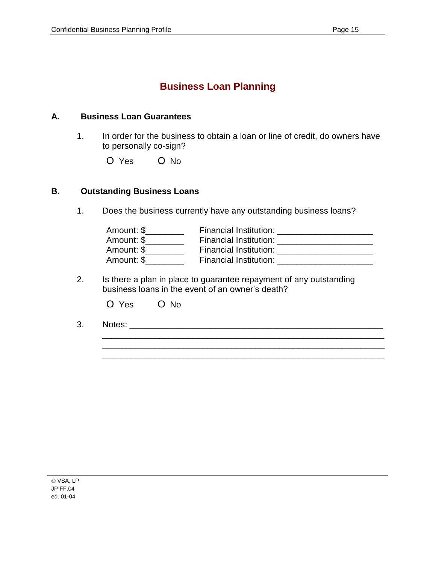# **Business Loan Planning**

#### **A. Business Loan Guarantees**

- 1. In order for the business to obtain a loan or line of credit, do owners have to personally co-sign?
	- O Yes O No

#### **B. Outstanding Business Loans**

1. Does the business currently have any outstanding business loans?

| Amount: \$ | Financial Institution: |
|------------|------------------------|
| Amount: \$ | Financial Institution: |
| Amount: \$ | Financial Institution: |
| Amount: \$ | Financial Institution: |

\_\_\_\_\_\_\_\_\_\_\_\_\_\_\_\_\_\_\_\_\_\_\_\_\_\_\_\_\_\_\_\_\_\_\_\_\_\_\_\_\_\_\_\_\_\_\_\_\_\_\_\_\_\_\_\_\_\_\_ \_\_\_\_\_\_\_\_\_\_\_\_\_\_\_\_\_\_\_\_\_\_\_\_\_\_\_\_\_\_\_\_\_\_\_\_\_\_\_\_\_\_\_\_\_\_\_\_\_\_\_\_\_\_\_\_\_\_\_ \_\_\_\_\_\_\_\_\_\_\_\_\_\_\_\_\_\_\_\_\_\_\_\_\_\_\_\_\_\_\_\_\_\_\_\_\_\_\_\_\_\_\_\_\_\_\_\_\_\_\_\_\_\_\_\_\_\_\_

2. Is there a plan in place to guarantee repayment of any outstanding business loans in the event of an owner's death?

| O Yes | O No |
|-------|------|
|       |      |

3. Notes: \_\_\_\_\_\_\_\_\_\_\_\_\_\_\_\_\_\_\_\_\_\_\_\_\_\_\_\_\_\_\_\_\_\_\_\_\_\_\_\_\_\_\_\_\_\_\_\_\_\_\_\_\_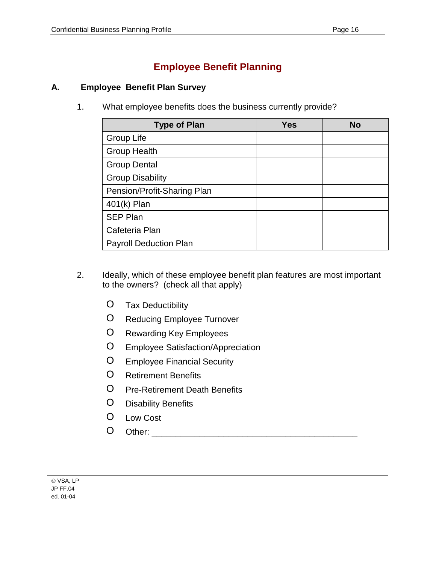# **Employee Benefit Planning**

### **A. Employee Benefit Plan Survey**

1. What employee benefits does the business currently provide?

| <b>Type of Plan</b>           | <b>Yes</b> | <b>No</b> |
|-------------------------------|------------|-----------|
| Group Life                    |            |           |
| <b>Group Health</b>           |            |           |
| <b>Group Dental</b>           |            |           |
| <b>Group Disability</b>       |            |           |
| Pension/Profit-Sharing Plan   |            |           |
| 401(k) Plan                   |            |           |
| <b>SEP Plan</b>               |            |           |
| Cafeteria Plan                |            |           |
| <b>Payroll Deduction Plan</b> |            |           |

- 2. Ideally, which of these employee benefit plan features are most important to the owners? (check all that apply)
	- O Tax Deductibility
	- O Reducing Employee Turnover
	- O Rewarding Key Employees
	- O Employee Satisfaction/Appreciation
	- O Employee Financial Security
	- O Retirement Benefits
	- O Pre-Retirement Death Benefits
	- O Disability Benefits
	- O Low Cost
	- O Other: \_\_\_\_\_\_\_\_\_\_\_\_\_\_\_\_\_\_\_\_\_\_\_\_\_\_\_\_\_\_\_\_\_\_\_\_\_\_\_\_\_\_\_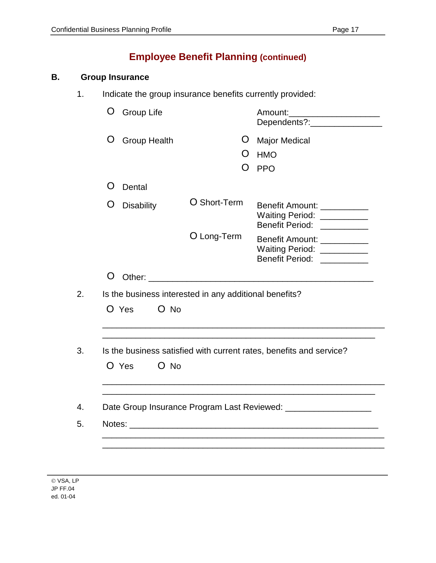### **B. Group Insurance**

1. Indicate the group insurance benefits currently provided:

|                        | <b>Group Life</b>   |                                                                                                                                                                                                                                | Amount:_______________________<br>Dependents?:__________________                          |
|------------------------|---------------------|--------------------------------------------------------------------------------------------------------------------------------------------------------------------------------------------------------------------------------|-------------------------------------------------------------------------------------------|
| O                      | <b>Group Health</b> | Ő<br>Ő<br>$\mathbf{O}$                                                                                                                                                                                                         | <b>Major Medical</b><br><b>HMO</b><br><b>PPO</b>                                          |
| $\mathbf{O}$<br>Dental |                     |                                                                                                                                                                                                                                |                                                                                           |
| O<br><b>Disability</b> |                     | O Short-Term                                                                                                                                                                                                                   | Benefit Amount: ___________<br>Waiting Period: ___________<br>Benefit Period: ___________ |
|                        |                     | O Long-Term                                                                                                                                                                                                                    | Benefit Amount: ___________<br>Waiting Period: ___________<br>Benefit Period: ___________ |
| O                      |                     |                                                                                                                                                                                                                                |                                                                                           |
|                        |                     | Is the business interested in any additional benefits?                                                                                                                                                                         |                                                                                           |
|                        | $O$ No              |                                                                                                                                                                                                                                |                                                                                           |
| O Yes                  |                     |                                                                                                                                                                                                                                |                                                                                           |
|                        |                     |                                                                                                                                                                                                                                | Is the business satisfied with current rates, benefits and service?                       |
| O Yes                  | $O$ No              |                                                                                                                                                                                                                                |                                                                                           |
|                        |                     |                                                                                                                                                                                                                                |                                                                                           |
|                        |                     | Notes: We have a series of the series of the series of the series of the series of the series of the series of the series of the series of the series of the series of the series of the series of the series of the series of | Date Group Insurance Program Last Reviewed: _____________________                         |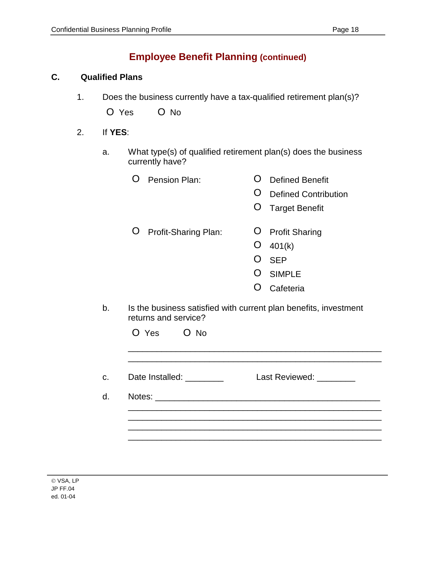#### **C. Qualified Plans**

1. Does the business currently have a tax-qualified retirement plan(s)?

| O Yes | O No |
|-------|------|
|       |      |

- 2. If **YES**:
	- a. What type(s) of qualified retirement plan(s) does the business currently have?
		- O Pension Plan: O Defined Benefit
			- O Defined Contribution
			- O Target Benefit
		- O Profit-Sharing Plan: O Profit Sharing
			- O 401(k)
			- O SEP
			- O SIMPLE
			- O Cafeteria
	- b. Is the business satisfied with current plan benefits, investment returns and service?

| Date Installed: <u>________</u> | Last Reviewed: ________ |
|---------------------------------|-------------------------|
|                                 |                         |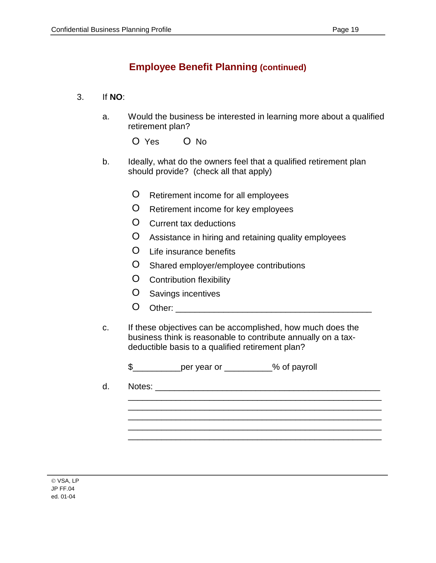### 3. If **NO**:

a. Would the business be interested in learning more about a qualified retirement plan?

O Yes O No

- b. Ideally, what do the owners feel that a qualified retirement plan should provide? (check all that apply)
	- O Retirement income for all employees
	- O Retirement income for key employees
	- O Current tax deductions
	- O Assistance in hiring and retaining quality employees
	- O Life insurance benefits
	- O Shared employer/employee contributions
	- O Contribution flexibility
	- O Savings incentives
	- O Other: \_\_\_\_\_\_\_\_\_\_\_\_\_\_\_\_\_\_\_\_\_\_\_\_\_\_\_\_\_\_\_\_\_\_\_\_\_\_\_\_\_
- c. If these objectives can be accomplished, how much does the business think is reasonable to contribute annually on a taxdeductible basis to a qualified retirement plan?

\$\_\_\_\_\_\_\_\_\_\_per year or \_\_\_\_\_\_\_\_\_\_% of payroll

d. Notes: \_\_\_\_\_\_\_\_\_\_\_\_\_\_\_\_\_\_\_\_\_\_\_\_\_\_\_\_\_\_\_\_\_\_\_\_\_\_\_\_\_\_\_\_\_\_\_

\_\_\_\_\_\_\_\_\_\_\_\_\_\_\_\_\_\_\_\_\_\_\_\_\_\_\_\_\_\_\_\_\_\_\_\_\_\_\_\_\_\_\_\_\_\_\_\_\_\_\_\_\_ \_\_\_\_\_\_\_\_\_\_\_\_\_\_\_\_\_\_\_\_\_\_\_\_\_\_\_\_\_\_\_\_\_\_\_\_\_\_\_\_\_\_\_\_\_\_\_\_\_\_\_\_\_ \_\_\_\_\_\_\_\_\_\_\_\_\_\_\_\_\_\_\_\_\_\_\_\_\_\_\_\_\_\_\_\_\_\_\_\_\_\_\_\_\_\_\_\_\_\_\_\_\_\_\_\_\_ \_\_\_\_\_\_\_\_\_\_\_\_\_\_\_\_\_\_\_\_\_\_\_\_\_\_\_\_\_\_\_\_\_\_\_\_\_\_\_\_\_\_\_\_\_\_\_\_\_\_\_\_\_ \_\_\_\_\_\_\_\_\_\_\_\_\_\_\_\_\_\_\_\_\_\_\_\_\_\_\_\_\_\_\_\_\_\_\_\_\_\_\_\_\_\_\_\_\_\_\_\_\_\_\_\_\_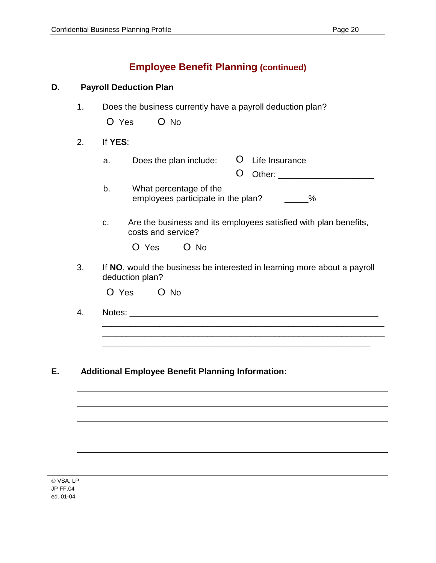| D. |    | <b>Payroll Deduction Plan</b>                                                                |
|----|----|----------------------------------------------------------------------------------------------|
|    | 1. | Does the business currently have a payroll deduction plan?<br>$O$ No<br>O Yes                |
|    | 2. | If YES:                                                                                      |
|    |    | <b>U</b> Life Insurance<br>Does the plan include:<br>a.<br>O                                 |
|    |    | b.<br>What percentage of the<br>employees participate in the plan? ______%                   |
|    |    | Are the business and its employees satisfied with plan benefits,<br>C.<br>costs and service? |
|    |    | O Yes O No                                                                                   |
|    | 3. | If NO, would the business be interested in learning more about a payroll<br>deduction plan?  |
|    |    | O Yes<br>$O$ No                                                                              |
|    | 4. |                                                                                              |
|    |    |                                                                                              |
|    |    |                                                                                              |

### **E. Additional Employee Benefit Planning Information:**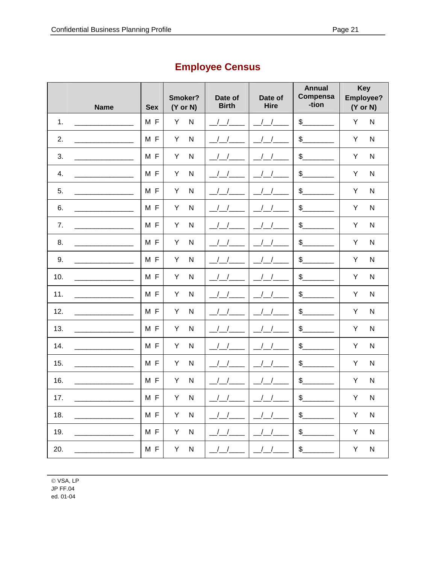|     | <b>Name</b> | <b>Sex</b> | Smoker?<br>$(Y \text{ or } N)$ | Date of<br><b>Birth</b> | Date of<br><b>Hire</b> | <b>Annual</b><br>Compensa<br>-tion | <b>Key</b><br>Employee?<br>$(Y \text{ or } N)$ |
|-----|-------------|------------|--------------------------------|-------------------------|------------------------|------------------------------------|------------------------------------------------|
| 1.  |             | MF         | $\overline{\mathsf{N}}$<br>Υ   |                         |                        | $\frac{1}{2}$                      | Y<br>${\sf N}$                                 |
| 2.  |             | MF         | $\overline{\mathsf{N}}$<br>Υ   |                         |                        | $\frac{1}{2}$                      | Υ<br>${\sf N}$                                 |
| 3.  |             | MF         | $\overline{\mathsf{N}}$<br>Υ   |                         |                        | $\frac{1}{2}$                      | Υ<br>${\sf N}$                                 |
| 4.  |             | MF         | Υ<br>$\mathsf{N}$              |                         |                        | $\frac{1}{2}$                      | Υ<br>${\sf N}$                                 |
| 5.  |             | MF         | Υ<br>$\mathsf{N}$              |                         |                        | $\frac{2}{2}$                      | Υ<br>${\sf N}$                                 |
| 6.  |             | MF         | Υ<br>$\mathsf{N}$              |                         |                        | $\frac{1}{2}$                      | Υ<br>${\sf N}$                                 |
| 7.  |             | M F        | Υ<br>$\mathsf{N}$              |                         |                        | $\frac{1}{2}$                      | Υ<br>${\sf N}$                                 |
| 8.  |             | MF         | Υ<br>$\mathsf{N}$              |                         |                        | $\frac{1}{2}$                      | Υ<br>${\sf N}$                                 |
| 9.  |             | MF         | Υ<br>$\mathsf{N}$              |                         |                        | $\frac{1}{2}$                      | Υ<br>${\sf N}$                                 |
| 10. |             | M F        | $\mathsf{N}$<br>Y              |                         |                        | $\frac{1}{2}$                      | Υ<br>${\sf N}$                                 |
| 11. |             | M F        | Υ<br>${\sf N}$                 |                         |                        | $\frac{1}{2}$                      | Υ<br>${\sf N}$                                 |
| 12. |             | MF         | Υ<br>$\mathsf{N}$              |                         |                        | $\frac{1}{2}$                      | Υ<br>${\sf N}$                                 |
| 13. |             | M F        | Υ<br>$\mathsf{N}$              |                         |                        | $\frac{1}{2}$                      | Y<br>${\sf N}$                                 |
| 14. |             | M F        | Υ<br>$\mathsf{N}$              |                         |                        | $\frac{1}{2}$                      | Y<br>${\sf N}$                                 |
| 15. |             | MF         | Υ<br>$\mathsf{N}$              |                         |                        | $\frac{1}{2}$                      | Υ<br>${\sf N}$                                 |
| 16. |             | MF         | Υ<br>${\sf N}$                 |                         |                        | $\frac{1}{2}$                      | Υ<br>${\sf N}$                                 |
| 17. |             | MF         | Υ<br>N                         |                         |                        | $\frac{1}{2}$                      | Υ<br>${\sf N}$                                 |
| 18. |             | M F        | Υ<br>${\sf N}$                 |                         |                        | $\frac{1}{2}$                      | Υ<br>${\sf N}$                                 |
| 19. |             | M F        | Y<br>${\sf N}$                 |                         |                        | $\frac{1}{2}$                      | $\sf Y$<br>${\sf N}$                           |
| 20. |             | M F        | Y<br>${\sf N}$                 |                         |                        | $\frac{1}{2}$                      | Υ<br>${\sf N}$                                 |

# **Employee Census**

© VSA, LP **JP FF.04** 

ı

ed. 01-04